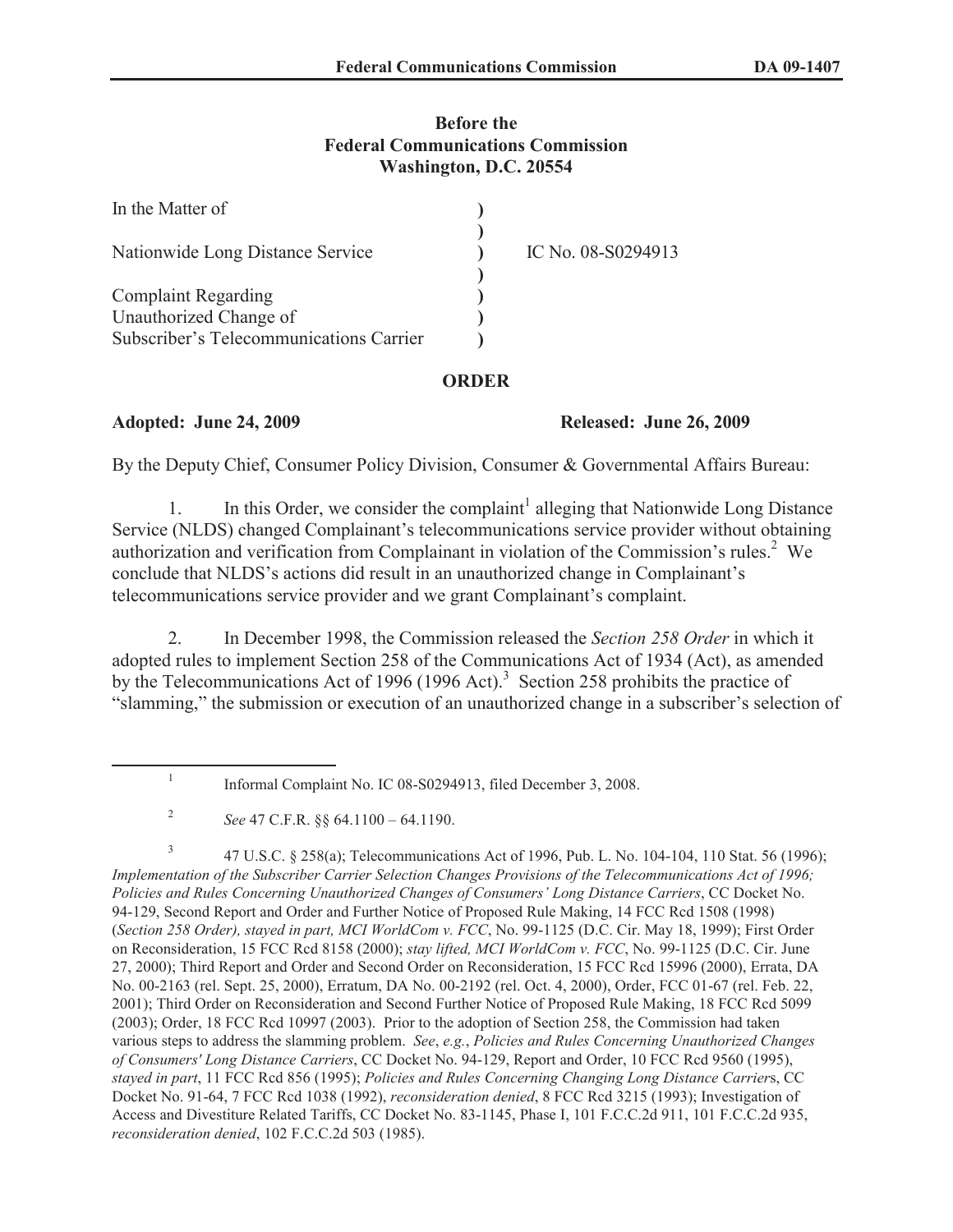### **Before the Federal Communications Commission Washington, D.C. 20554**

| In the Matter of                        |                    |
|-----------------------------------------|--------------------|
| Nationwide Long Distance Service        | IC No. 08-S0294913 |
| <b>Complaint Regarding</b>              |                    |
| Unauthorized Change of                  |                    |
| Subscriber's Telecommunications Carrier |                    |

# **ORDER**

# **Adopted: June 24, 2009 Released: June 26, 2009**

By the Deputy Chief, Consumer Policy Division, Consumer & Governmental Affairs Bureau:

1. In this Order, we consider the complaint<sup>1</sup> alleging that Nationwide Long Distance Service (NLDS) changed Complainant's telecommunications service provider without obtaining authorization and verification from Complainant in violation of the Commission's rules.<sup>2</sup> We conclude that NLDS's actions did result in an unauthorized change in Complainant's telecommunications service provider and we grant Complainant's complaint.

2. In December 1998, the Commission released the *Section 258 Order* in which it adopted rules to implement Section 258 of the Communications Act of 1934 (Act), as amended by the Telecommunications Act of 1996 (1996 Act).<sup>3</sup> Section 258 prohibits the practice of "slamming," the submission or execution of an unauthorized change in a subscriber's selection of

3 47 U.S.C. § 258(a); Telecommunications Act of 1996, Pub. L. No. 104-104, 110 Stat. 56 (1996); *Implementation of the Subscriber Carrier Selection Changes Provisions of the Telecommunications Act of 1996; Policies and Rules Concerning Unauthorized Changes of Consumers' Long Distance Carriers*, CC Docket No. 94-129, Second Report and Order and Further Notice of Proposed Rule Making, 14 FCC Rcd 1508 (1998) (*Section 258 Order), stayed in part, MCI WorldCom v. FCC*, No. 99-1125 (D.C. Cir. May 18, 1999); First Order on Reconsideration, 15 FCC Rcd 8158 (2000); *stay lifted, MCI WorldCom v. FCC*, No. 99-1125 (D.C. Cir. June 27, 2000); Third Report and Order and Second Order on Reconsideration, 15 FCC Rcd 15996 (2000), Errata, DA No. 00-2163 (rel. Sept. 25, 2000), Erratum, DA No. 00-2192 (rel. Oct. 4, 2000), Order, FCC 01-67 (rel. Feb. 22, 2001); Third Order on Reconsideration and Second Further Notice of Proposed Rule Making, 18 FCC Rcd 5099 (2003); Order, 18 FCC Rcd 10997 (2003). Prior to the adoption of Section 258, the Commission had taken various steps to address the slamming problem. *See*, *e.g.*, *Policies and Rules Concerning Unauthorized Changes of Consumers' Long Distance Carriers*, CC Docket No. 94-129, Report and Order, 10 FCC Rcd 9560 (1995), *stayed in part*, 11 FCC Rcd 856 (1995); *Policies and Rules Concerning Changing Long Distance Carrier*s, CC Docket No. 91-64, 7 FCC Rcd 1038 (1992), *reconsideration denied*, 8 FCC Rcd 3215 (1993); Investigation of Access and Divestiture Related Tariffs, CC Docket No. 83-1145, Phase I, 101 F.C.C.2d 911, 101 F.C.C.2d 935, *reconsideration denied*, 102 F.C.C.2d 503 (1985).

<sup>1</sup> Informal Complaint No. IC 08-S0294913, filed December 3, 2008.

<sup>2</sup> *See* 47 C.F.R. §§ 64.1100 – 64.1190.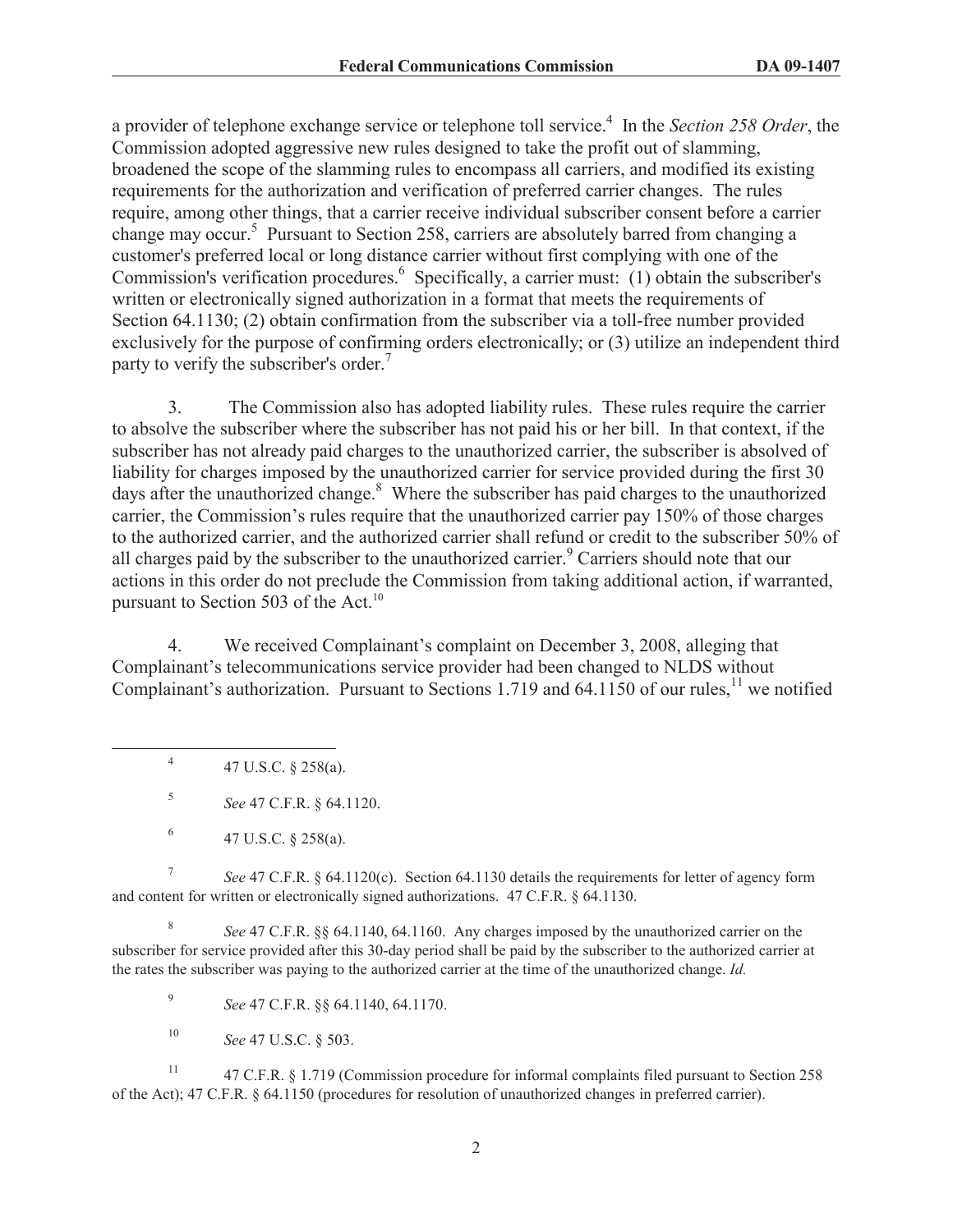a provider of telephone exchange service or telephone toll service.<sup>4</sup> In the *Section 258 Order*, the Commission adopted aggressive new rules designed to take the profit out of slamming, broadened the scope of the slamming rules to encompass all carriers, and modified its existing requirements for the authorization and verification of preferred carrier changes. The rules require, among other things, that a carrier receive individual subscriber consent before a carrier change may occur.<sup>5</sup> Pursuant to Section 258, carriers are absolutely barred from changing a customer's preferred local or long distance carrier without first complying with one of the Commission's verification procedures.<sup>6</sup> Specifically, a carrier must: (1) obtain the subscriber's written or electronically signed authorization in a format that meets the requirements of Section 64.1130; (2) obtain confirmation from the subscriber via a toll-free number provided exclusively for the purpose of confirming orders electronically; or (3) utilize an independent third party to verify the subscriber's order.<sup>7</sup>

3. The Commission also has adopted liability rules. These rules require the carrier to absolve the subscriber where the subscriber has not paid his or her bill. In that context, if the subscriber has not already paid charges to the unauthorized carrier, the subscriber is absolved of liability for charges imposed by the unauthorized carrier for service provided during the first 30 days after the unauthorized change.<sup>8</sup> Where the subscriber has paid charges to the unauthorized carrier, the Commission's rules require that the unauthorized carrier pay 150% of those charges to the authorized carrier, and the authorized carrier shall refund or credit to the subscriber 50% of all charges paid by the subscriber to the unauthorized carrier.<sup>9</sup> Carriers should note that our actions in this order do not preclude the Commission from taking additional action, if warranted, pursuant to Section 503 of the Act. $^{10}$ 

4. We received Complainant's complaint on December 3, 2008, alleging that Complainant's telecommunications service provider had been changed to NLDS without Complainant's authorization. Pursuant to Sections 1.719 and 64.1150 of our rules,<sup>11</sup> we notified

4 47 U.S.C. § 258(a).

5 *See* 47 C.F.R. § 64.1120.

7 *See* 47 C.F.R. § 64.1120(c). Section 64.1130 details the requirements for letter of agency form and content for written or electronically signed authorizations. 47 C.F.R. § 64.1130.

8 *See* 47 C.F.R. §§ 64.1140, 64.1160. Any charges imposed by the unauthorized carrier on the subscriber for service provided after this 30-day period shall be paid by the subscriber to the authorized carrier at the rates the subscriber was paying to the authorized carrier at the time of the unauthorized change. *Id.*

9 *See* 47 C.F.R. §§ 64.1140, 64.1170.

<sup>10</sup> *See* 47 U.S.C. § 503.

<sup>11</sup> 47 C.F.R. § 1.719 (Commission procedure for informal complaints filed pursuant to Section 258 of the Act); 47 C.F.R. § 64.1150 (procedures for resolution of unauthorized changes in preferred carrier).

<sup>6</sup> 47 U.S.C. § 258(a).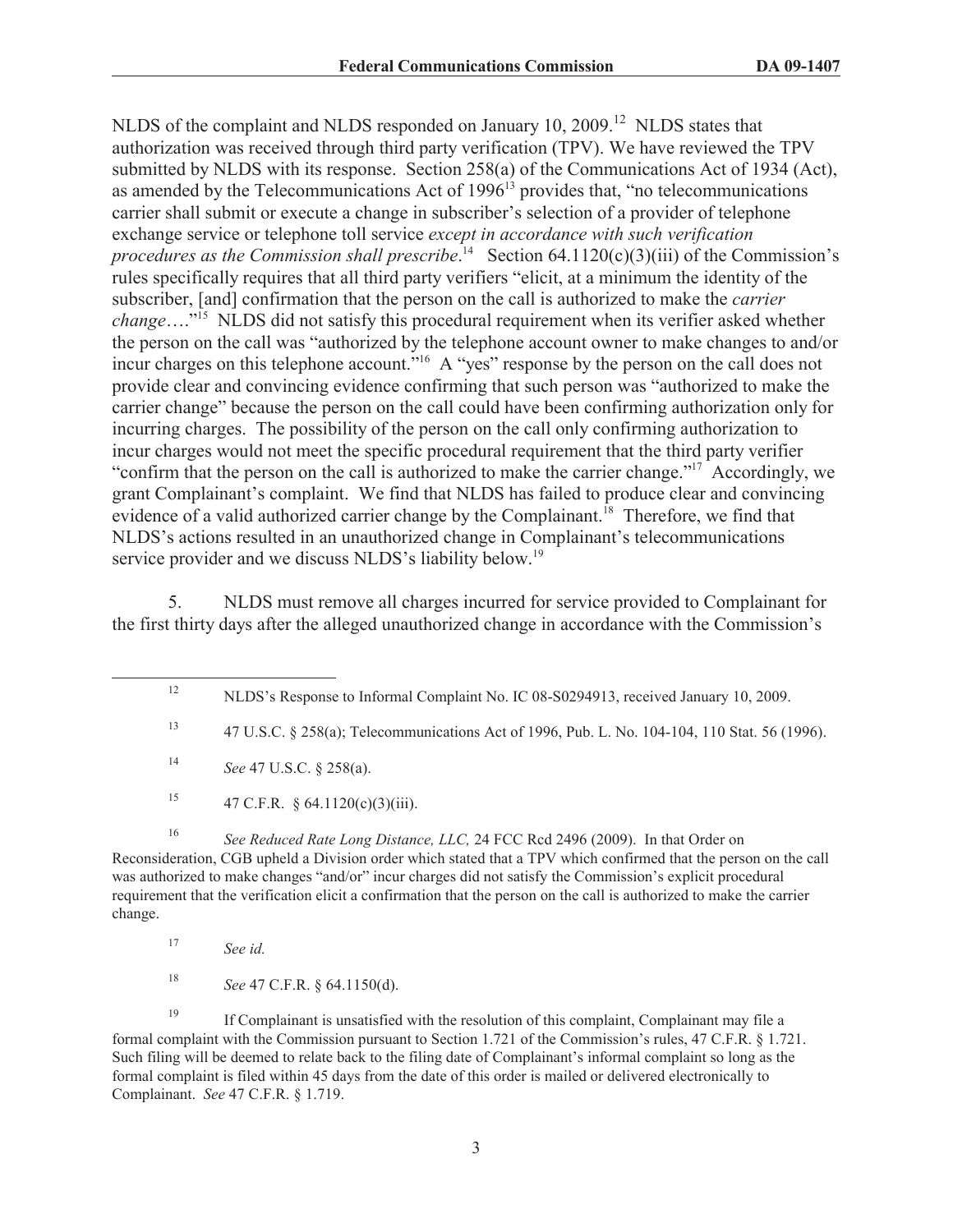NLDS of the complaint and NLDS responded on January 10, 2009.<sup>12</sup> NLDS states that authorization was received through third party verification (TPV). We have reviewed the TPV submitted by NLDS with its response. Section 258(a) of the Communications Act of 1934 (Act), as amended by the Telecommunications Act of  $1996<sup>13</sup>$  provides that, "no telecommunications carrier shall submit or execute a change in subscriber's selection of a provider of telephone exchange service or telephone toll service *except in accordance with such verification*  procedures as the Commission shall prescribe.<sup>14</sup> Section 64.1120(c)(3)(iii) of the Commission's rules specifically requires that all third party verifiers "elicit, at a minimum the identity of the subscriber, [and] confirmation that the person on the call is authorized to make the *carrier change*…."<sup>15</sup> NLDS did not satisfy this procedural requirement when its verifier asked whether the person on the call was "authorized by the telephone account owner to make changes to and/or incur charges on this telephone account."<sup>16</sup> A "yes" response by the person on the call does not provide clear and convincing evidence confirming that such person was "authorized to make the carrier change" because the person on the call could have been confirming authorization only for incurring charges. The possibility of the person on the call only confirming authorization to incur charges would not meet the specific procedural requirement that the third party verifier "confirm that the person on the call is authorized to make the carrier change."<sup>17</sup> Accordingly, we grant Complainant's complaint. We find that NLDS has failed to produce clear and convincing evidence of a valid authorized carrier change by the Complainant.<sup>18</sup> Therefore, we find that NLDS's actions resulted in an unauthorized change in Complainant's telecommunications service provider and we discuss NLDS's liability below.<sup>19</sup>

5. NLDS must remove all charges incurred for service provided to Complainant for the first thirty days after the alleged unauthorized change in accordance with the Commission's

<sup>15</sup> 47 C.F.R. § 64.1120(c)(3)(iii).

<sup>16</sup> *See Reduced Rate Long Distance, LLC,* 24 FCC Rcd 2496 (2009). In that Order on Reconsideration, CGB upheld a Division order which stated that a TPV which confirmed that the person on the call was authorized to make changes "and/or" incur charges did not satisfy the Commission's explicit procedural requirement that the verification elicit a confirmation that the person on the call is authorized to make the carrier change.

<sup>18</sup> *See* 47 C.F.R. § 64.1150(d).

<sup>19</sup> If Complainant is unsatisfied with the resolution of this complaint, Complainant may file a formal complaint with the Commission pursuant to Section 1.721 of the Commission's rules, 47 C.F.R. § 1.721. Such filing will be deemed to relate back to the filing date of Complainant's informal complaint so long as the formal complaint is filed within 45 days from the date of this order is mailed or delivered electronically to Complainant. *See* 47 C.F.R. § 1.719.

<sup>&</sup>lt;sup>12</sup> NLDS's Response to Informal Complaint No. IC 08-S0294913, received January 10, 2009.

<sup>13</sup> 47 U.S.C. § 258(a); Telecommunications Act of 1996, Pub. L. No. 104-104, 110 Stat. 56 (1996).

<sup>14</sup> *See* 47 U.S.C. § 258(a).

<sup>17</sup> *See id.*